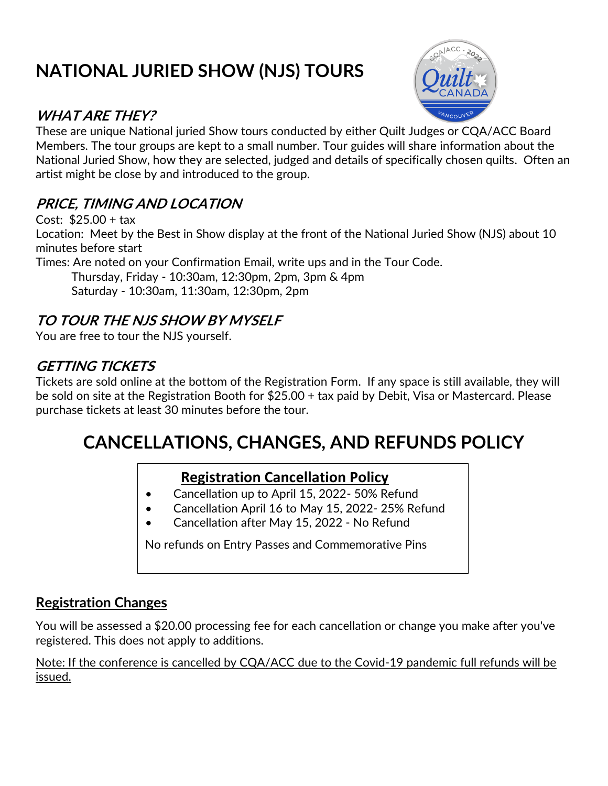# **NATIONAL JURIED SHOW (NJS) TOURS**

## **WHAT ARE THEY?**



These are unique National juried Show tours conducted by either Quilt Judges or CQA/ACC Board Members. The tour groups are kept to a small number. Tour guides will share information about the National Juried Show, how they are selected, judged and details of specifically chosen quilts. Often an artist might be close by and introduced to the group.

## **PRICE, TIMING AND LOCATION**

Cost: \$25.00 + tax Location: Meet by the Best in Show display at the front of the National Juried Show (NJS) about 10 minutes before start Times: Are noted on your Confirmation Email, write ups and in the Tour Code. Thursday, Friday - 10:30am, 12:30pm, 2pm, 3pm & 4pm Saturday - 10:30am, 11:30am, 12:30pm, 2pm

## **TO TOUR THE NJS SHOW BY MYSELF**

You are free to tour the NJS yourself.

## **GETTING TICKETS**

Tickets are sold online at the bottom of the Registration Form. If any space is still available, they will be sold on site at the Registration Booth for \$25.00 + tax paid by Debit, Visa or Mastercard. Please purchase tickets at least 30 minutes before the tour.

## **CANCELLATIONS, CHANGES, AND REFUNDS POLICY**

### **Registration Cancellation Policy**

- Cancellation up to April 15, 2022- 50% Refund
- Cancellation April 16 to May 15, 2022- 25% Refund
- Cancellation after May 15, 2022 No Refund

No refunds on Entry Passes and Commemorative Pins

## **Registration Changes**

You will be assessed a \$20.00 processing fee for each cancellation or change you make after you've registered. This does not apply to additions.

Note: If the conference is cancelled by CQA/ACC due to the Covid-19 pandemic full refunds will be issued.